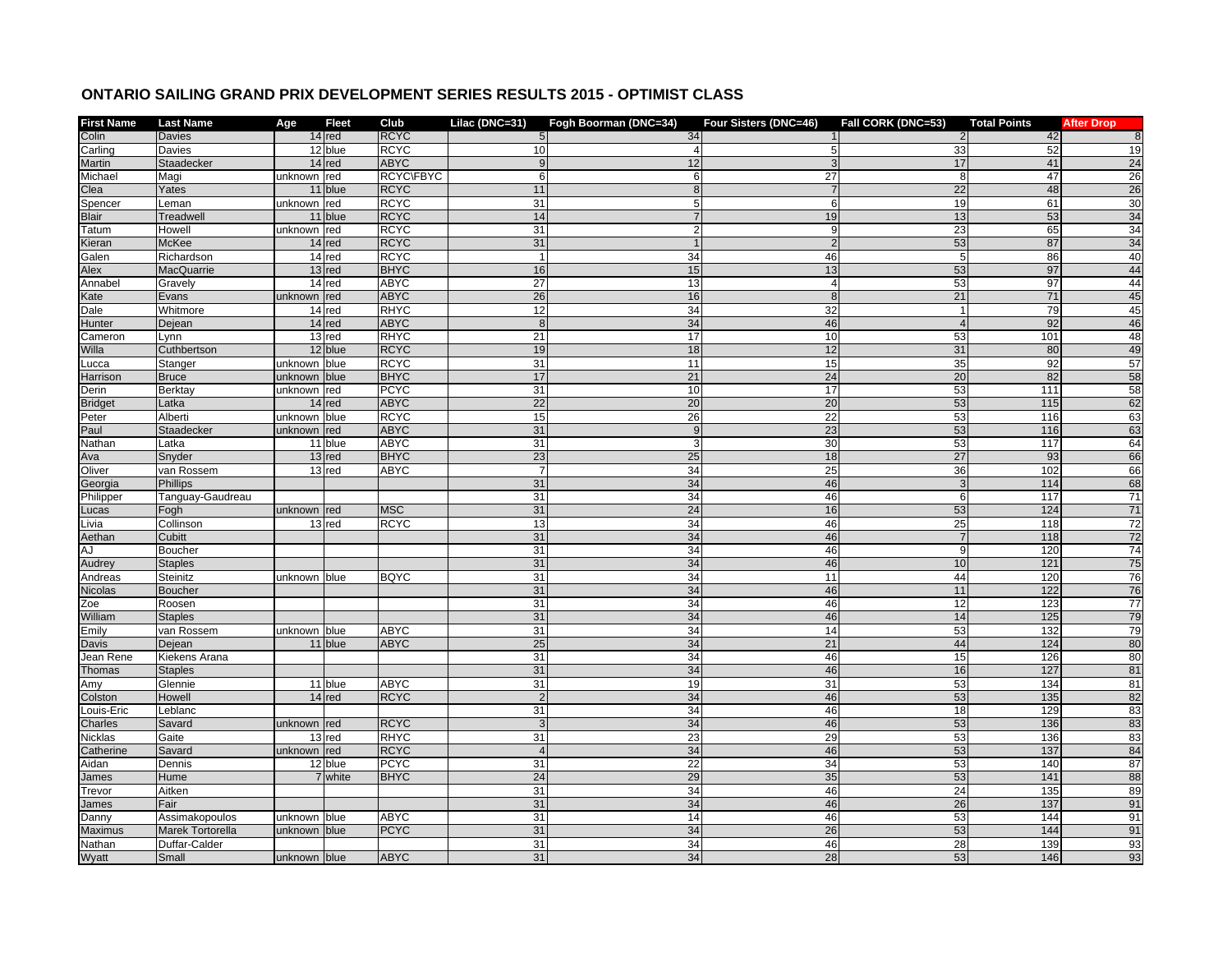## **ONTARIO SAILING GRAND PRIX DEVELOPMENT SERIES RESULTS 2015 - OPTIMIST CLASS**

| <b>First Name</b> | <b>Last Name</b>  | Age          | <b>Fleet</b> | Club             | Lilac (DNC=31)  | Fogh Boorman (DNC=34) | Four Sisters (DNC=46)   | Fall CORK (DNC=53) | <b>Total Points</b> | <b>After Drop</b> |
|-------------------|-------------------|--------------|--------------|------------------|-----------------|-----------------------|-------------------------|--------------------|---------------------|-------------------|
| Colin             | <b>Davies</b>     |              | $14$ red     | <b>RCYC</b>      | 5 <sub>l</sub>  | 34                    |                         | $\overline{2}$     | 42                  | 8                 |
| Carling           | Davies            |              | 12 blue      | <b>RCYC</b>      | 10              |                       | 5                       | 33                 | 52                  | 19                |
| Martin            | Staadecker        |              | $14$ red     | <b>ABYC</b>      | 9               | 12                    | 3                       | 17                 | 41                  | 24                |
| Michael           | Magi              | unknown red  |              | <b>RCYC\FBYC</b> | 6               | 6                     | $\overline{27}$         | 8                  | 47                  | $\overline{26}$   |
| Clea              | Yates             |              | 11 blue      | <b>RCYC</b>      | 11              |                       |                         | 22                 | 48                  | 26                |
| Spencer           | Leman             | unknown red  |              | <b>RCYC</b>      | 31              | 5 <sub>l</sub>        | 6                       | 19                 | 61                  | 30                |
| Blair             | <b>Treadwell</b>  |              | 11 blue      | <b>RCYC</b>      | 14              |                       | 19                      | 13                 | 53                  | 34                |
| Tatum             | Howell            | unknown red  |              | <b>RCYC</b>      | 31              | $\overline{2}$        | 9                       | 23                 | 65                  | 34                |
| Kieran            | McKee             |              | $14$ red     | <b>RCYC</b>      | 31              |                       | $\overline{2}$          | 53                 | 87                  | 34                |
| Galen             | Richardson        |              | 14 red       | <b>RCYC</b>      | $\overline{1}$  | 34                    | 46                      | 5                  | 86                  | 40                |
| Alex              | MacQuarrie        |              | 13 red       | <b>BHYC</b>      | 16              | 15                    | 13                      | 53                 | 97                  | 44                |
| Annabel           | Gravely           |              | 14 red       | <b>ABYC</b>      | 27              | 13                    | $\overline{\mathbf{4}}$ | 53                 | 97                  | 44                |
| Kate              | Evans             | unknown red  |              | <b>ABYC</b>      | 26              | 16                    | 8                       | 21                 | 71                  | 45                |
| Dale              | Whitmore          |              | 14 red       | <b>RHYC</b>      | 12              | 34                    | 32                      | $\overline{1}$     | 79                  | 45                |
| Hunter            | Dejean            |              | $14$ red     | <b>ABYC</b>      | 8               | 34                    | 46                      | $\Delta$           | 92                  | 46                |
| Cameron           | Lynn              |              | 13 red       | <b>RHYC</b>      | 21              | 17                    | 10                      | 53                 | 101                 | 48                |
| Willa             | Cuthbertson       |              | 12 blue      | <b>RCYC</b>      | 19              | 18                    | 12                      | 31                 | 80                  | 49                |
| ucca.             | Stanger           | unknown blue |              | <b>RCYC</b>      | 31              | 11                    | 15                      | 35                 | 92                  | 57                |
| Harrison          | <b>Bruce</b>      | unknown      | blue         | <b>BHYC</b>      | 17              | 21                    | 24                      | 20                 | 82                  | 58                |
| Derin             | <b>Berktay</b>    | unknown red  |              | <b>PCYC</b>      | $\overline{31}$ | 10                    | 17                      | 53                 | 111                 | $\overline{58}$   |
| <b>Bridget</b>    | Latka             |              | $14$ red     | <b>ABYC</b>      | 22              | 20                    | 20                      | 53                 | $\overline{115}$    | 62                |
| Peter             | Alberti           | unknown blue |              | <b>RCYC</b>      | 15              | 26                    | 22                      | 53                 | 116                 | 63                |
| Paul              | <b>Staadecker</b> | unknown red  |              | <b>ABYC</b>      | 31              | 9                     | 23                      | 53                 | $\frac{116}{116}$   | 63                |
| Nathan            | Latka             |              | 11 blue      | <b>ABYC</b>      | 31              | $\mathbf{3}$          | 30                      | 53                 | 117                 | 64                |
| Ava               | Snyder            |              | $13$ red     | <b>BHYC</b>      | 23              | 25                    | 18                      | $\overline{27}$    | 93                  | 66                |
| Oliver            | van Rossem        |              | 13 red       | ABYC             | $\overline{7}$  | 34                    | 25                      | 36                 | 102                 | 66                |
| Georgia           | <b>Phillips</b>   |              |              |                  | 31              | 34                    | 46                      | 3                  | 114                 | 68                |
| Philipper         | Tanguay-Gaudreau  |              |              |                  | 31              | 34                    | 46                      | 6                  | 117                 | 71                |
| Lucas             | Fogh              | unknown red  |              | <b>MSC</b>       | 31              | 24                    | 16                      | 53                 | 124                 | 71                |
| .ivia             | Collinson         |              | 13 red       | <b>RCYC</b>      | 13              | 34                    | 46                      | 25                 | 118                 | 72                |
| Aethan            | Cubitt            |              |              |                  | 31              | 34                    | 46                      | $\overline{7}$     | 118                 | 72                |
| AJ                | Boucher           |              |              |                  | 31              | 34                    | 46                      | 9                  | 120                 | 74                |
| Audrey            | <b>Staples</b>    |              |              |                  | 31              | 34                    | 46                      | 10                 | $\overline{121}$    | 75                |
| Andreas           | Steinitz          | unknown blue |              | <b>BQYC</b>      | 31              | 34                    | 11                      | 44                 | 120                 | 76                |
| Nicolas           | <b>Boucher</b>    |              |              |                  | 31              | 34                    | 46                      | 11                 | 122                 | 76                |
| Zoe               | Roosen            |              |              |                  | 31              | 34                    | 46                      | 12                 | 123                 | $\overline{77}$   |
| William           | <b>Staples</b>    |              |              |                  | 31              | 34                    | 46                      | 14                 | 125                 | 79                |
| Emily             | van Rossem        | unknown blue |              | <b>ABYC</b>      | 31              | 34                    | 14                      | 53                 | 132                 | 79                |
| Davis             | Dejean            |              | 11 blue      | <b>ABYC</b>      | 25              | 34                    | 21                      | 44                 | 124                 | 80                |
| Jean Rene         | Kiekens Arana     |              |              |                  | 31              | 34                    | 46                      | 15                 | 126                 | 80                |
| Thomas            | <b>Staples</b>    |              |              |                  | 31              | 34                    | 46                      | 16                 | 127                 | 81                |
| Amy               | Glennie           |              | 11 blue      | <b>ABYC</b>      | 31              | 19                    | 31                      | 53                 | 134                 | 81                |
| Colston           | Howell            |              | $14$ red     | <b>RCYC</b>      | $\overline{2}$  | 34                    | 46                      | 53                 | 135                 | 82                |
| Louis-Eric        | Leblanc           |              |              |                  | 31              | $\overline{34}$       | 46                      | 18                 | 129                 | 83                |
| Charles           | Savard            | unknown red  |              | <b>RCYC</b>      | $\mathbf{3}$    | 34                    | 46                      | 53                 | 136                 | 83                |
| Nicklas           | Gaite             |              | 13 red       | <b>RHYC</b>      | 31              | 23                    | 29                      | 53                 | 136                 | 83                |
| Catherine         | Savard            | unknown red  |              | <b>RCYC</b>      | $\overline{4}$  | 34                    | 46                      | 53                 | 137                 | 84                |
| Aidan             | Dennis            |              | 12 blue      | <b>PCYC</b>      | 31              | $\overline{22}$       | 34                      | 53                 | 140                 | 87                |
| James             | Hume              |              | 7 white      | <b>BHYC</b>      | $\overline{24}$ | 29                    | 35                      | 53                 | 141                 | 88                |
| Trevor            | Aitken            |              |              |                  | 31              | $\overline{34}$       | 46                      | $\overline{24}$    | 135                 | 89                |
| James             | Fair              |              |              |                  | 31              | 34                    | 46                      | 26                 | 137                 | 91                |
| Danny             | Assimakopoulos    | unknown blue |              | <b>ABYC</b>      | 31              | 14                    | 46                      | 53                 | 144                 | 91                |
| Maximus           | Marek Tortorella  | unknown blue |              | <b>PCYC</b>      | 31              | 34                    | $\overline{26}$         | 53                 | 144                 | 91                |
| Nathan            | Duffar-Calder     |              |              |                  | 31              | 34                    | 46                      | 28                 | 139                 | 93                |
| Wyatt             | Small             | unknown blue |              | <b>ABYC</b>      | 31              | 34                    | 28                      | 53                 | 146                 | 93                |